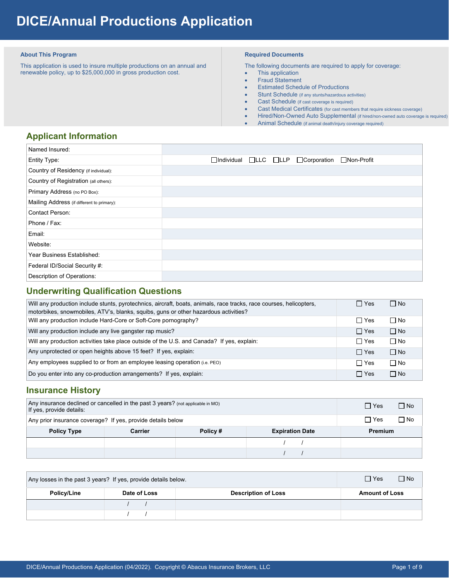# **DICE/Annual Productions Application**

#### **About This Program**

 This application is used to insure multiple productions on an annual and renewable policy, up to \$25,000,000 in gross production cost.

#### **Required Documents**

The following documents are required to apply for coverage:

- This application
- Fraud Statement
- Estimated Schedule of Productions
- Stunt Schedule (if any stunts/hazardous activities)
- Cast Schedule (if cast coverage is required)
- Cast Medical Certificates (for cast members that require sickness coverage)
- Hired/Non-Owned Auto Supplemental (if hired/non-owned auto coverage is required)
- Animal Schedule (if animal death/injury coverage required)

# **Applicant Information**

| Named Insured:                             |  |                                                  |  |
|--------------------------------------------|--|--------------------------------------------------|--|
| Entity Type:                               |  | □Individual □LLC □LLP □ Corporation □ Non-Profit |  |
| Country of Residency (if individual):      |  |                                                  |  |
| Country of Registration (all others):      |  |                                                  |  |
| Primary Address (no PO Box):               |  |                                                  |  |
| Mailing Address (if different to primary): |  |                                                  |  |
| <b>Contact Person:</b>                     |  |                                                  |  |
| Phone / Fax:                               |  |                                                  |  |
| Email:                                     |  |                                                  |  |
| Website:                                   |  |                                                  |  |
| Year Business Established:                 |  |                                                  |  |
| Federal ID/Social Security #:              |  |                                                  |  |
| Description of Operations:                 |  |                                                  |  |

## **Underwriting Qualification Questions**

| Will any production include stunts, pyrotechnics, aircraft, boats, animals, race tracks, race courses, helicopters,<br>motorbikes, snowmobiles, ATV's, blanks, squibs, guns or other hazardous activities? | $\Box$ Yes | $\Box$ No |
|------------------------------------------------------------------------------------------------------------------------------------------------------------------------------------------------------------|------------|-----------|
| Will any production include Hard-Core or Soft-Core pornography?                                                                                                                                            | $\Box$ Yes | $\Box$ No |
| Will any production include any live gangster rap music?                                                                                                                                                   | $\Box$ Yes | $\Box$ No |
| Will any production activities take place outside of the U.S. and Canada? If yes, explain:                                                                                                                 | $\Box$ Yes | $\Box$ No |
| Any unprotected or open heights above 15 feet? If yes, explain:                                                                                                                                            | $\Box$ Yes | $\Box$ No |
| Any employees supplied to or from an employee leasing operation (i.e. PEO)                                                                                                                                 | $\Box$ Yes | $\Box$ No |
| Do you enter into any co-production arrangements? If yes, explain:                                                                                                                                         | $\Box$ Yes | $\Box$ No |

## **Insurance History**

| Any insurance declined or cancelled in the past 3 years? (not applicable in MO)<br>If yes, provide details: | $\Box$ No<br>$\Box$ Yes |  |  |
|-------------------------------------------------------------------------------------------------------------|-------------------------|--|--|
| Any prior insurance coverage? If yes, provide details below                                                 | ∩ No<br>$\Box$ Yes      |  |  |
| <b>Policy Type</b>                                                                                          | <b>Premium</b>          |  |  |
|                                                                                                             |                         |  |  |
|                                                                                                             |                         |  |  |

| Any losses in the past 3 years? If yes, provide details below. | $\Box$ No<br>$\Box$ Yes |                            |                       |
|----------------------------------------------------------------|-------------------------|----------------------------|-----------------------|
| Policy/Line                                                    | Date of Loss            | <b>Description of Loss</b> | <b>Amount of Loss</b> |
|                                                                |                         |                            |                       |
|                                                                |                         |                            |                       |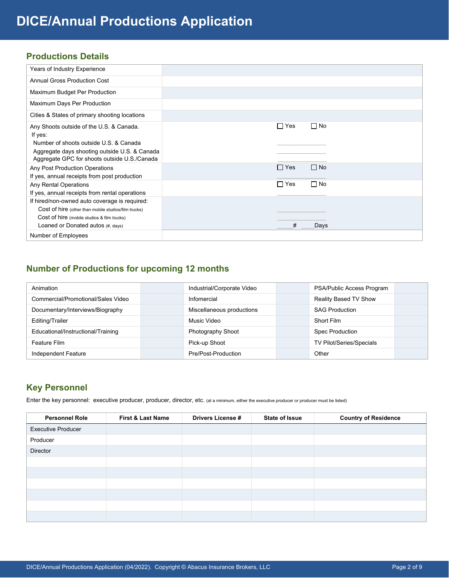# **Productions Details**

| Years of Industry Experience                                                                                                            |                         |
|-----------------------------------------------------------------------------------------------------------------------------------------|-------------------------|
| <b>Annual Gross Production Cost</b>                                                                                                     |                         |
| Maximum Budget Per Production                                                                                                           |                         |
| Maximum Days Per Production                                                                                                             |                         |
| Cities & States of primary shooting locations                                                                                           |                         |
| Any Shoots outside of the U.S. & Canada.<br>If yes:                                                                                     | $\Box$ Yes<br>$\Box$ No |
| Number of shoots outside U.S. & Canada<br>Aggregate days shooting outside U.S. & Canada<br>Aggregate GPC for shoots outside U.S./Canada |                         |
| Any Post Production Operations<br>If yes, annual receipts from post production                                                          | $\Box$ No<br>$\Box$ Yes |
| Any Rental Operations<br>If yes, annual receipts from rental operations                                                                 | $\Box$ No<br>$\Box$ Yes |
| If hired/non-owned auto coverage is required:                                                                                           |                         |
| Cost of hire (other than mobile studios/film trucks)                                                                                    |                         |
| Cost of hire (mobile studios & film trucks)                                                                                             |                         |
| Loaned or Donated autos (#, days)                                                                                                       | #<br>Days               |
| Number of Employees                                                                                                                     |                         |

# **Number of Productions for upcoming 12 months**

| Animation                          | Industrial/Corporate Video | PSA/Public Access Program |
|------------------------------------|----------------------------|---------------------------|
| Commercial/Promotional/Sales Video | Infomercial                | Reality Based TV Show     |
| Documentary/Interviews/Biography   | Miscellaneous productions  | <b>SAG Production</b>     |
| Editing/Trailer                    | Music Video                | Short Film                |
| Educational/Instructional/Training | Photography Shoot          | <b>Spec Production</b>    |
| Feature Film                       | Pick-up Shoot              | TV Pilot/Series/Specials  |
| Independent Feature                | Pre/Post-Production        | Other                     |

# **Key Personnel**

Enter the key personnel: executive producer, producer, director, etc. (at a minimum, either the executive producer or producer must be listed)

| <b>Personnel Role</b>     | <b>First &amp; Last Name</b> | <b>Drivers License #</b> | <b>State of Issue</b> | <b>Country of Residence</b> |
|---------------------------|------------------------------|--------------------------|-----------------------|-----------------------------|
| <b>Executive Producer</b> |                              |                          |                       |                             |
| Producer                  |                              |                          |                       |                             |
| Director                  |                              |                          |                       |                             |
|                           |                              |                          |                       |                             |
|                           |                              |                          |                       |                             |
|                           |                              |                          |                       |                             |
|                           |                              |                          |                       |                             |
|                           |                              |                          |                       |                             |
|                           |                              |                          |                       |                             |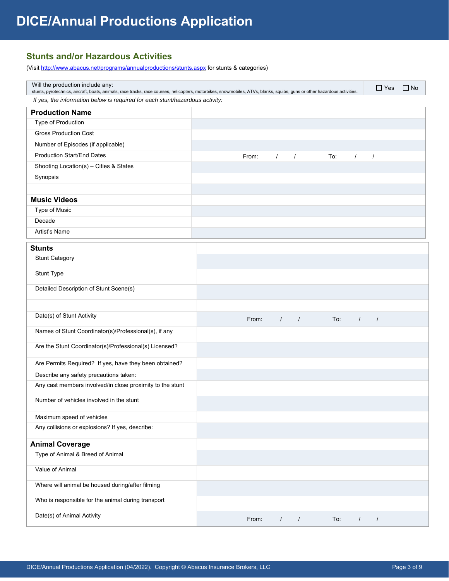# **Stunts and/or Hazardous Activities**

(Visit http://www.abacus.net/programs/annualproductions/stunts.aspx for stunts & categories)

| Will the production include any:                                                                                                                                                                                                                           |  |       |            |                |     |          | $\Box$ Yes | $\Box$ No |
|------------------------------------------------------------------------------------------------------------------------------------------------------------------------------------------------------------------------------------------------------------|--|-------|------------|----------------|-----|----------|------------|-----------|
| stunts, pyrotechnics, aircraft, boats, animals, race tracks, race courses, helicopters, motorbikes, snowmobiles, ATVs, blanks, squibs, guns or other hazardous activities.<br>If yes, the information below is required for each stunt/hazardous activity: |  |       |            |                |     |          |            |           |
| <b>Production Name</b>                                                                                                                                                                                                                                     |  |       |            |                |     |          |            |           |
| Type of Production                                                                                                                                                                                                                                         |  |       |            |                |     |          |            |           |
| <b>Gross Production Cost</b>                                                                                                                                                                                                                               |  |       |            |                |     |          |            |           |
| Number of Episodes (if applicable)                                                                                                                                                                                                                         |  |       |            |                |     |          |            |           |
| <b>Production Start/End Dates</b>                                                                                                                                                                                                                          |  | From: | $\sqrt{2}$ |                | To: | $\prime$ | $\prime$   |           |
| Shooting Location(s) - Cities & States                                                                                                                                                                                                                     |  |       |            |                |     |          |            |           |
| Synopsis                                                                                                                                                                                                                                                   |  |       |            |                |     |          |            |           |
|                                                                                                                                                                                                                                                            |  |       |            |                |     |          |            |           |
| <b>Music Videos</b>                                                                                                                                                                                                                                        |  |       |            |                |     |          |            |           |
| Type of Music                                                                                                                                                                                                                                              |  |       |            |                |     |          |            |           |
| Decade                                                                                                                                                                                                                                                     |  |       |            |                |     |          |            |           |
| Artist's Name                                                                                                                                                                                                                                              |  |       |            |                |     |          |            |           |
| <b>Stunts</b>                                                                                                                                                                                                                                              |  |       |            |                |     |          |            |           |
| <b>Stunt Category</b>                                                                                                                                                                                                                                      |  |       |            |                |     |          |            |           |
| Stunt Type                                                                                                                                                                                                                                                 |  |       |            |                |     |          |            |           |
| Detailed Description of Stunt Scene(s)                                                                                                                                                                                                                     |  |       |            |                |     |          |            |           |
|                                                                                                                                                                                                                                                            |  |       |            |                |     |          |            |           |
| Date(s) of Stunt Activity                                                                                                                                                                                                                                  |  | From: | $\sqrt{ }$ | $\sqrt{2}$     | To: | $\prime$ | $\prime$   |           |
| Names of Stunt Coordinator(s)/Professional(s), if any                                                                                                                                                                                                      |  |       |            |                |     |          |            |           |
| Are the Stunt Coordinator(s)/Professional(s) Licensed?                                                                                                                                                                                                     |  |       |            |                |     |          |            |           |
| Are Permits Required? If yes, have they been obtained?                                                                                                                                                                                                     |  |       |            |                |     |          |            |           |
| Describe any safety precautions taken:                                                                                                                                                                                                                     |  |       |            |                |     |          |            |           |
| Any cast members involved/in close proximity to the stunt                                                                                                                                                                                                  |  |       |            |                |     |          |            |           |
| Number of vehicles involved in the stunt                                                                                                                                                                                                                   |  |       |            |                |     |          |            |           |
| Maximum speed of vehicles                                                                                                                                                                                                                                  |  |       |            |                |     |          |            |           |
| Any collisions or explosions? If yes, describe:                                                                                                                                                                                                            |  |       |            |                |     |          |            |           |
| <b>Animal Coverage</b>                                                                                                                                                                                                                                     |  |       |            |                |     |          |            |           |
| Type of Animal & Breed of Animal                                                                                                                                                                                                                           |  |       |            |                |     |          |            |           |
| Value of Animal                                                                                                                                                                                                                                            |  |       |            |                |     |          |            |           |
| Where will animal be housed during/after filming                                                                                                                                                                                                           |  |       |            |                |     |          |            |           |
| Who is responsible for the animal during transport                                                                                                                                                                                                         |  |       |            |                |     |          |            |           |
| Date(s) of Animal Activity                                                                                                                                                                                                                                 |  | From: | $\prime$   | $\overline{1}$ | To: | $\prime$ | $\sqrt{ }$ |           |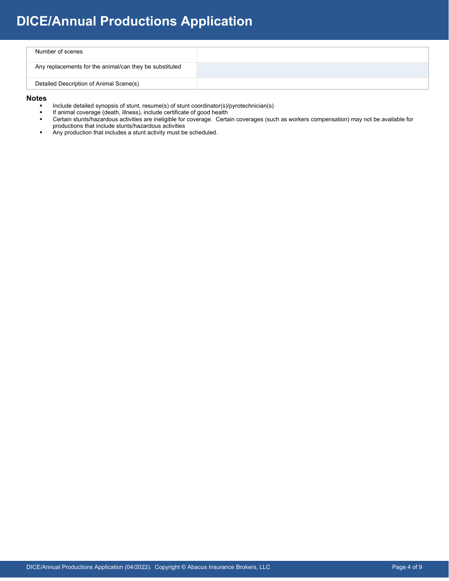# **DICE/Annual Productions Application**

| Number of scenes                                        |  |
|---------------------------------------------------------|--|
| Any replacements for the animal/can they be substituted |  |
| Detailed Description of Animal Scene(s)                 |  |

#### **Notes**

- Include detailed synopsis of stunt, resume(s) of stunt coordinator(s)/pyrotechnician(s)<br>If animal coverage (death illness) include certificate of good bealth
- If animal coverage (death, illness), include certificate of good health<br>■ Certain stunts/hazardous activities are ineligible for coverage Certa
- Certain stunts/hazardous activities are ineligible for coverage. Certain coverages (such as workers compensation) may not be available for productions that include stunts/hazardous activities
- Any production that includes a stunt activity must be scheduled.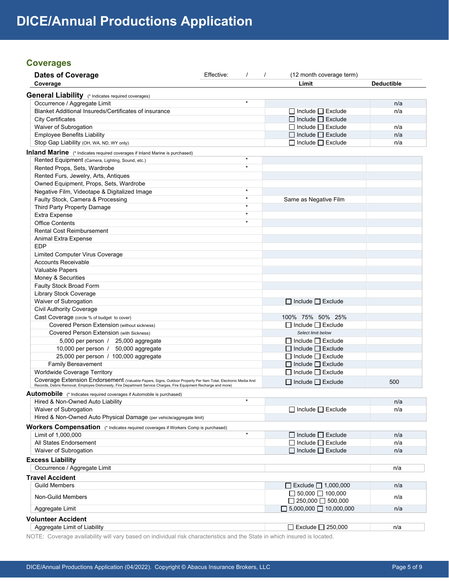# **Coverages**

| Effective: | (12 month coverage term)                                                                                                                                                                                                                                                                                                                                                                               |                                                                                                                                                                                                                                                                                                                                                                                                                                                                                                                                                                                                                                                                                                   |
|------------|--------------------------------------------------------------------------------------------------------------------------------------------------------------------------------------------------------------------------------------------------------------------------------------------------------------------------------------------------------------------------------------------------------|---------------------------------------------------------------------------------------------------------------------------------------------------------------------------------------------------------------------------------------------------------------------------------------------------------------------------------------------------------------------------------------------------------------------------------------------------------------------------------------------------------------------------------------------------------------------------------------------------------------------------------------------------------------------------------------------------|
|            | Limit                                                                                                                                                                                                                                                                                                                                                                                                  | <b>Deductible</b>                                                                                                                                                                                                                                                                                                                                                                                                                                                                                                                                                                                                                                                                                 |
|            |                                                                                                                                                                                                                                                                                                                                                                                                        |                                                                                                                                                                                                                                                                                                                                                                                                                                                                                                                                                                                                                                                                                                   |
| $\star$    |                                                                                                                                                                                                                                                                                                                                                                                                        | n/a                                                                                                                                                                                                                                                                                                                                                                                                                                                                                                                                                                                                                                                                                               |
|            | $\Box$ Include $\Box$ Exclude                                                                                                                                                                                                                                                                                                                                                                          | n/a                                                                                                                                                                                                                                                                                                                                                                                                                                                                                                                                                                                                                                                                                               |
|            |                                                                                                                                                                                                                                                                                                                                                                                                        |                                                                                                                                                                                                                                                                                                                                                                                                                                                                                                                                                                                                                                                                                                   |
|            |                                                                                                                                                                                                                                                                                                                                                                                                        | n/a                                                                                                                                                                                                                                                                                                                                                                                                                                                                                                                                                                                                                                                                                               |
|            |                                                                                                                                                                                                                                                                                                                                                                                                        | n/a                                                                                                                                                                                                                                                                                                                                                                                                                                                                                                                                                                                                                                                                                               |
|            |                                                                                                                                                                                                                                                                                                                                                                                                        | n/a                                                                                                                                                                                                                                                                                                                                                                                                                                                                                                                                                                                                                                                                                               |
|            |                                                                                                                                                                                                                                                                                                                                                                                                        |                                                                                                                                                                                                                                                                                                                                                                                                                                                                                                                                                                                                                                                                                                   |
| $\star$    |                                                                                                                                                                                                                                                                                                                                                                                                        |                                                                                                                                                                                                                                                                                                                                                                                                                                                                                                                                                                                                                                                                                                   |
| $\star$    |                                                                                                                                                                                                                                                                                                                                                                                                        |                                                                                                                                                                                                                                                                                                                                                                                                                                                                                                                                                                                                                                                                                                   |
|            |                                                                                                                                                                                                                                                                                                                                                                                                        |                                                                                                                                                                                                                                                                                                                                                                                                                                                                                                                                                                                                                                                                                                   |
|            |                                                                                                                                                                                                                                                                                                                                                                                                        |                                                                                                                                                                                                                                                                                                                                                                                                                                                                                                                                                                                                                                                                                                   |
| $\star$    |                                                                                                                                                                                                                                                                                                                                                                                                        |                                                                                                                                                                                                                                                                                                                                                                                                                                                                                                                                                                                                                                                                                                   |
| $\star$    |                                                                                                                                                                                                                                                                                                                                                                                                        |                                                                                                                                                                                                                                                                                                                                                                                                                                                                                                                                                                                                                                                                                                   |
| $\star$    |                                                                                                                                                                                                                                                                                                                                                                                                        |                                                                                                                                                                                                                                                                                                                                                                                                                                                                                                                                                                                                                                                                                                   |
| $\star$    |                                                                                                                                                                                                                                                                                                                                                                                                        |                                                                                                                                                                                                                                                                                                                                                                                                                                                                                                                                                                                                                                                                                                   |
| $\star$    |                                                                                                                                                                                                                                                                                                                                                                                                        |                                                                                                                                                                                                                                                                                                                                                                                                                                                                                                                                                                                                                                                                                                   |
|            |                                                                                                                                                                                                                                                                                                                                                                                                        |                                                                                                                                                                                                                                                                                                                                                                                                                                                                                                                                                                                                                                                                                                   |
|            |                                                                                                                                                                                                                                                                                                                                                                                                        |                                                                                                                                                                                                                                                                                                                                                                                                                                                                                                                                                                                                                                                                                                   |
|            |                                                                                                                                                                                                                                                                                                                                                                                                        |                                                                                                                                                                                                                                                                                                                                                                                                                                                                                                                                                                                                                                                                                                   |
|            |                                                                                                                                                                                                                                                                                                                                                                                                        |                                                                                                                                                                                                                                                                                                                                                                                                                                                                                                                                                                                                                                                                                                   |
|            |                                                                                                                                                                                                                                                                                                                                                                                                        |                                                                                                                                                                                                                                                                                                                                                                                                                                                                                                                                                                                                                                                                                                   |
|            |                                                                                                                                                                                                                                                                                                                                                                                                        |                                                                                                                                                                                                                                                                                                                                                                                                                                                                                                                                                                                                                                                                                                   |
|            |                                                                                                                                                                                                                                                                                                                                                                                                        |                                                                                                                                                                                                                                                                                                                                                                                                                                                                                                                                                                                                                                                                                                   |
|            |                                                                                                                                                                                                                                                                                                                                                                                                        |                                                                                                                                                                                                                                                                                                                                                                                                                                                                                                                                                                                                                                                                                                   |
|            |                                                                                                                                                                                                                                                                                                                                                                                                        |                                                                                                                                                                                                                                                                                                                                                                                                                                                                                                                                                                                                                                                                                                   |
|            |                                                                                                                                                                                                                                                                                                                                                                                                        |                                                                                                                                                                                                                                                                                                                                                                                                                                                                                                                                                                                                                                                                                                   |
|            |                                                                                                                                                                                                                                                                                                                                                                                                        |                                                                                                                                                                                                                                                                                                                                                                                                                                                                                                                                                                                                                                                                                                   |
|            |                                                                                                                                                                                                                                                                                                                                                                                                        |                                                                                                                                                                                                                                                                                                                                                                                                                                                                                                                                                                                                                                                                                                   |
|            |                                                                                                                                                                                                                                                                                                                                                                                                        |                                                                                                                                                                                                                                                                                                                                                                                                                                                                                                                                                                                                                                                                                                   |
|            |                                                                                                                                                                                                                                                                                                                                                                                                        |                                                                                                                                                                                                                                                                                                                                                                                                                                                                                                                                                                                                                                                                                                   |
|            |                                                                                                                                                                                                                                                                                                                                                                                                        |                                                                                                                                                                                                                                                                                                                                                                                                                                                                                                                                                                                                                                                                                                   |
|            |                                                                                                                                                                                                                                                                                                                                                                                                        |                                                                                                                                                                                                                                                                                                                                                                                                                                                                                                                                                                                                                                                                                                   |
|            |                                                                                                                                                                                                                                                                                                                                                                                                        |                                                                                                                                                                                                                                                                                                                                                                                                                                                                                                                                                                                                                                                                                                   |
|            |                                                                                                                                                                                                                                                                                                                                                                                                        |                                                                                                                                                                                                                                                                                                                                                                                                                                                                                                                                                                                                                                                                                                   |
|            |                                                                                                                                                                                                                                                                                                                                                                                                        |                                                                                                                                                                                                                                                                                                                                                                                                                                                                                                                                                                                                                                                                                                   |
|            |                                                                                                                                                                                                                                                                                                                                                                                                        |                                                                                                                                                                                                                                                                                                                                                                                                                                                                                                                                                                                                                                                                                                   |
|            |                                                                                                                                                                                                                                                                                                                                                                                                        | 500                                                                                                                                                                                                                                                                                                                                                                                                                                                                                                                                                                                                                                                                                               |
|            |                                                                                                                                                                                                                                                                                                                                                                                                        |                                                                                                                                                                                                                                                                                                                                                                                                                                                                                                                                                                                                                                                                                                   |
| $^\star$   |                                                                                                                                                                                                                                                                                                                                                                                                        | n/a                                                                                                                                                                                                                                                                                                                                                                                                                                                                                                                                                                                                                                                                                               |
|            | $\Box$ Include $\Box$ Exclude                                                                                                                                                                                                                                                                                                                                                                          | n/a                                                                                                                                                                                                                                                                                                                                                                                                                                                                                                                                                                                                                                                                                               |
|            |                                                                                                                                                                                                                                                                                                                                                                                                        |                                                                                                                                                                                                                                                                                                                                                                                                                                                                                                                                                                                                                                                                                                   |
|            |                                                                                                                                                                                                                                                                                                                                                                                                        |                                                                                                                                                                                                                                                                                                                                                                                                                                                                                                                                                                                                                                                                                                   |
| $^\star$   |                                                                                                                                                                                                                                                                                                                                                                                                        | n/a                                                                                                                                                                                                                                                                                                                                                                                                                                                                                                                                                                                                                                                                                               |
|            |                                                                                                                                                                                                                                                                                                                                                                                                        | n/a                                                                                                                                                                                                                                                                                                                                                                                                                                                                                                                                                                                                                                                                                               |
|            |                                                                                                                                                                                                                                                                                                                                                                                                        | n/a                                                                                                                                                                                                                                                                                                                                                                                                                                                                                                                                                                                                                                                                                               |
|            |                                                                                                                                                                                                                                                                                                                                                                                                        |                                                                                                                                                                                                                                                                                                                                                                                                                                                                                                                                                                                                                                                                                                   |
|            |                                                                                                                                                                                                                                                                                                                                                                                                        |                                                                                                                                                                                                                                                                                                                                                                                                                                                                                                                                                                                                                                                                                                   |
|            |                                                                                                                                                                                                                                                                                                                                                                                                        | n/a                                                                                                                                                                                                                                                                                                                                                                                                                                                                                                                                                                                                                                                                                               |
|            |                                                                                                                                                                                                                                                                                                                                                                                                        |                                                                                                                                                                                                                                                                                                                                                                                                                                                                                                                                                                                                                                                                                                   |
|            | $\Box$ Exclude $\Box$ 1,000,000                                                                                                                                                                                                                                                                                                                                                                        | n/a                                                                                                                                                                                                                                                                                                                                                                                                                                                                                                                                                                                                                                                                                               |
|            |                                                                                                                                                                                                                                                                                                                                                                                                        | n/a                                                                                                                                                                                                                                                                                                                                                                                                                                                                                                                                                                                                                                                                                               |
|            |                                                                                                                                                                                                                                                                                                                                                                                                        |                                                                                                                                                                                                                                                                                                                                                                                                                                                                                                                                                                                                                                                                                                   |
|            |                                                                                                                                                                                                                                                                                                                                                                                                        | n/a                                                                                                                                                                                                                                                                                                                                                                                                                                                                                                                                                                                                                                                                                               |
|            |                                                                                                                                                                                                                                                                                                                                                                                                        |                                                                                                                                                                                                                                                                                                                                                                                                                                                                                                                                                                                                                                                                                                   |
|            |                                                                                                                                                                                                                                                                                                                                                                                                        |                                                                                                                                                                                                                                                                                                                                                                                                                                                                                                                                                                                                                                                                                                   |
|            | Coverage Extension Endorsement (Valuable Papers, Signs, Outdoor Property Per Item Total, Electronic Media And<br>Records, Debris Removal, Employee Dishonesty, Fire Department Service Charges, Fire Equipment Recharge and more)<br>Hired & Non-Owned Auto Physical Damage (per vehicle/aggregate limit)<br><b>Workers Compensation</b> (* Indicates required coverages if Workers Comp is purchased) | $\prime$<br>$\Box$ Include $\Box$ Exclude<br>$\Box$ Include $\Box$ Exclude<br>$\Box$ Include $\Box$ Exclude<br>$\Box$ Include $\Box$ Exclude<br>Same as Negative Film<br>$\Box$ Include $\Box$ Exclude<br>100% 75% 50% 25%<br>$\Box$ Include $\Box$ Exclude<br>Select limit below<br>$\Box$ Include $\Box$ Exclude<br>$\Box$ Include $\Box$ Exclude<br>$\Box$ Include $\Box$ Exclude<br>$\Box$ Include $\Box$ Exclude<br>$\Box$ Include $\Box$ Exclude<br>$\Box$ Include $\Box$ Exclude<br>$\Box$ Include $\Box$ Exclude<br>$\Box$ Include $\Box$ Exclude<br>$\Box$ Include $\Box$ Exclude<br>$\Box$ 50,000 $\Box$ 100,000<br>$\Box$ 250,000 $\Box$ 500,000<br>$\Box$ 5,000,000 $\Box$ 10,000,000 |

NOTE: Coverage availability will vary based on individual risk characteristics and the State in which insured is located.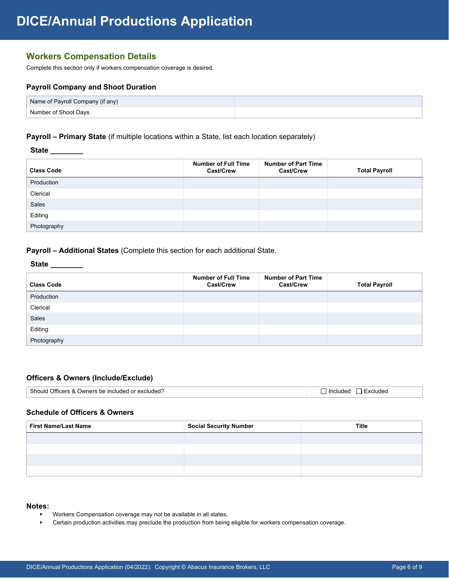# **Workers Compensation Details**

Complete this section only if workers compensation coverage is desired.

## **Payroll Company and Shoot Duration**

| Name of Payroll Company (if any) |  |
|----------------------------------|--|
| Number of Shoot Davs             |  |

## **Payroll – Primary State** (if multiple locations within a State, list each location separately)

 **State \_\_\_\_\_\_\_\_** 

| <b>Class Code</b> | <b>Number of Full Time</b><br>Cast/Crew | <b>Number of Part Time</b><br><b>Cast/Crew</b> | <b>Total Payroll</b> |
|-------------------|-----------------------------------------|------------------------------------------------|----------------------|
| Production        |                                         |                                                |                      |
| Clerical          |                                         |                                                |                      |
| <b>Sales</b>      |                                         |                                                |                      |
| Editing           |                                         |                                                |                      |
| Photography       |                                         |                                                |                      |

**Payroll – Additional States** (Complete this section for each additional State.

## **State \_\_\_\_\_\_\_\_**

| <b>Class Code</b> | <b>Number of Full Time</b><br>Cast/Crew | <b>Number of Part Time</b><br>Cast/Crew | <b>Total Payroll</b> |
|-------------------|-----------------------------------------|-----------------------------------------|----------------------|
| Production        |                                         |                                         |                      |
| Clerical          |                                         |                                         |                      |
| Sales             |                                         |                                         |                      |
| Editing           |                                         |                                         |                      |
| Photography       |                                         |                                         |                      |

#### **Officers & Owners (Include/Exclude)**

| Shoulo<br>Officers &<br>, excluded <sup>∽</sup><br>$\cdots$<br>: Owners be included<br>$\overline{\phantom{a}}$<br>$\blacksquare$ Include.<br>$\sim$<br>. .<br>. |  |
|------------------------------------------------------------------------------------------------------------------------------------------------------------------|--|
|------------------------------------------------------------------------------------------------------------------------------------------------------------------|--|

### **Schedule of Officers & Owners**

| <b>First Name/Last Name</b> | <b>Social Security Number</b> | <b>Title</b> |
|-----------------------------|-------------------------------|--------------|
|                             |                               |              |
|                             |                               |              |
|                             |                               |              |
|                             |                               |              |

#### **Notes:**

- Workers Compensation coverage may not be available in all states.
- Certain production activities may preclude the production from being eligible for workers compensation coverage.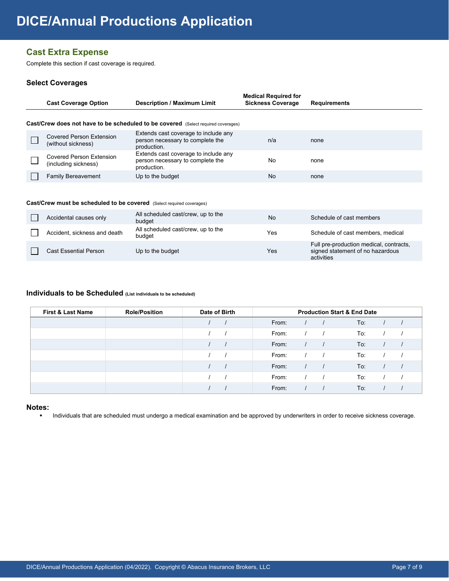# **Cast Extra Expense**

Complete this section if cast coverage is required.

## **Select Coverages**

| <b>Cast Coverage Option</b>                                                                                                                                                                                                                                                                                                                                                            | <b>Description / Maximum Limit</b>                                                       | <b>Medical Required for</b><br><b>Sickness Coverage</b> | <b>Requirements</b> |
|----------------------------------------------------------------------------------------------------------------------------------------------------------------------------------------------------------------------------------------------------------------------------------------------------------------------------------------------------------------------------------------|------------------------------------------------------------------------------------------|---------------------------------------------------------|---------------------|
|                                                                                                                                                                                                                                                                                                                                                                                        | <b>Cast/Crew does not have to be scheduled to be covered</b> (Select required coverages) |                                                         |                     |
| <b>Covered Person Extension</b><br>(without sickness)                                                                                                                                                                                                                                                                                                                                  | Extends cast coverage to include any<br>person necessary to complete the<br>production.  | n/a                                                     | none                |
| <b>Covered Person Extension</b><br>(including sickness)                                                                                                                                                                                                                                                                                                                                | Extends cast coverage to include any<br>person necessary to complete the<br>production.  | No                                                      | none                |
| <b>Family Bereavement</b>                                                                                                                                                                                                                                                                                                                                                              | Up to the budget                                                                         | No                                                      | none                |
| $\mathcal{C}_{\mathbf{a} \mathbf{a}}$ $\mathcal{C}_{\mathbf{a} \mathbf{a}}$ $\mathcal{C}_{\mathbf{a} \mathbf{a}}$ $\mathcal{C}_{\mathbf{a}}$ and $\mathcal{C}_{\mathbf{a}}$ and $\mathcal{C}_{\mathbf{a}}$ and $\mathcal{C}_{\mathbf{a}}$ and $\mathcal{C}_{\mathbf{a}}$ and $\mathcal{C}_{\mathbf{a}}$ and $\mathcal{C}_{\mathbf{a}}$ and $\mathcal{C}_{\mathbf{a}}$ and $\mathcal{C$ |                                                                                          |                                                         |                     |

#### **Cast/Crew must be scheduled to be covered** (Select required coverages)

| Accidental causes only       | All scheduled cast/crew, up to the<br>budget | No  | Schedule of cast members                                                                  |
|------------------------------|----------------------------------------------|-----|-------------------------------------------------------------------------------------------|
| Accident, sickness and death | All scheduled cast/crew, up to the<br>budaet | Yes | Schedule of cast members, medical                                                         |
| <b>Cast Essential Person</b> | Up to the budget                             | Yes | Full pre-production medical, contracts,<br>signed statement of no hazardous<br>activities |

## **Individuals to be Scheduled (List individuals to be scheduled)**

| <b>First &amp; Last Name</b> | <b>Role/Position</b> | Date of Birth |       | <b>Production Start &amp; End Date</b> |  |     |  |  |
|------------------------------|----------------------|---------------|-------|----------------------------------------|--|-----|--|--|
|                              |                      |               | From: |                                        |  | To: |  |  |
|                              |                      |               | From: |                                        |  | To: |  |  |
|                              |                      |               | From: |                                        |  | To: |  |  |
|                              |                      |               | From: |                                        |  | To: |  |  |
|                              |                      |               | From: |                                        |  | To: |  |  |
|                              |                      |               | From: |                                        |  | To: |  |  |
|                              |                      |               | From: |                                        |  | To: |  |  |

## **Notes:**

• Individuals that are scheduled must undergo a medical examination and be approved by underwriters in order to receive sickness coverage.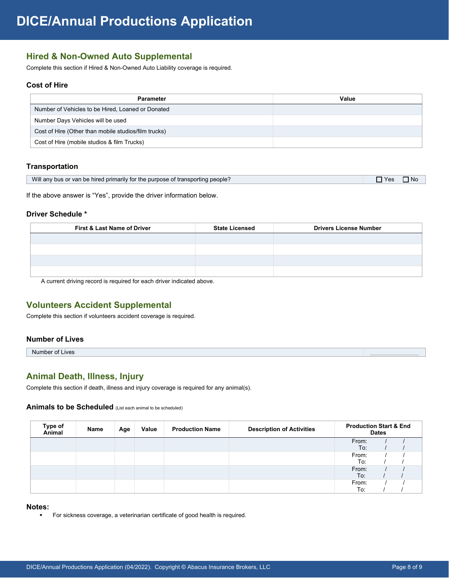# **Hired & Non-Owned Auto Supplemental**

Complete this section if Hired & Non-Owned Auto Liability coverage is required.

## **Cost of Hire**

| <b>Parameter</b>                                     | Value |
|------------------------------------------------------|-------|
| Number of Vehicles to be Hired, Loaned or Donated    |       |
| Number Days Vehicles will be used                    |       |
| Cost of Hire (Other than mobile studios/film trucks) |       |
| Cost of Hire (mobile studios & film Trucks)          |       |

### **Transportation**

|  | Will any bus or van be hired primarily for the purpose of transporting people? | $\neg$ Yes | $\n  1$ No |
|--|--------------------------------------------------------------------------------|------------|------------|
|--|--------------------------------------------------------------------------------|------------|------------|

If the above answer is "Yes", provide the driver information below.

## **Driver Schedule \***

| <b>First &amp; Last Name of Driver</b> | <b>State Licensed</b> | <b>Drivers License Number</b> |
|----------------------------------------|-----------------------|-------------------------------|
|                                        |                       |                               |
|                                        |                       |                               |
|                                        |                       |                               |
|                                        |                       |                               |

A current driving record is required for each driver indicated above.

## **Volunteers Accident Supplemental**

Complete this section if volunteers accident coverage is required.

## **Number of Lives**

Number of Lives

# **Animal Death, Illness, Injury**

Complete this section if death, illness and injury coverage is required for any animal(s).

## **Animals to be Scheduled** (List each animal to be scheduled)

| Type of<br>Animal | Name | Age | Value | <b>Production Name</b> | <b>Description of Activities</b> | <b>Production Start &amp; End</b> | <b>Dates</b> |  |
|-------------------|------|-----|-------|------------------------|----------------------------------|-----------------------------------|--------------|--|
|                   |      |     |       |                        |                                  | From:                             |              |  |
|                   |      |     |       |                        |                                  | To:                               |              |  |
|                   |      |     |       |                        |                                  | From:                             |              |  |
|                   |      |     |       |                        |                                  | To:                               |              |  |
|                   |      |     |       |                        |                                  | From:                             |              |  |
|                   |      |     |       |                        |                                  | To:                               |              |  |
|                   |      |     |       |                        |                                  | From:                             |              |  |
|                   |      |     |       |                        |                                  | To:                               |              |  |

#### **Notes:**

**For sickness coverage, a veterinarian certificate of good health is required.**